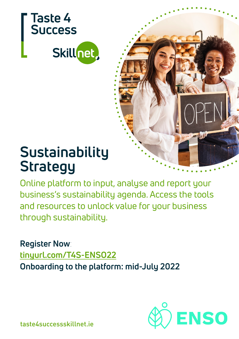

# **Sustainability Strategy**

Online platform to input, analyse and report your business's sustainability agenda. Access the tools and resources to unlock value for your business through sustainability.

**Register Now**: **[tinyurl.com/T4S-ENSO22](https://forms.office.com/Pages/ResponsePage.aspx?id=XDEiAQiByEq8n10hl_4jhnx7Bk-3IaZAltCH8SL2K11UNUZLOFZWTTNZVUhRVEE1TTNUSzE3TjBIUCQlQCNjPTEu&wdLOR=c7C4B28AC-D460-4CD0-8790-857BDBD88C27) Onboarding to the platform: mid-July 2022**



taste4successskillnet.ie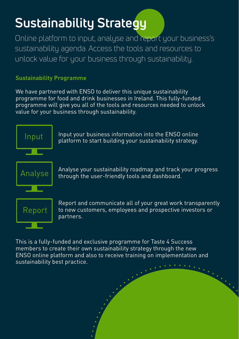# **Sustainability Strategy**

Online platform to input, analyse and report your business's sustainability agenda. Access the tools and resources to unlock value for your business through sustainability.

## **Sustainability Programme**

We have partnered with ENSO to deliver this unique sustainability programme for food and drink businesses in Ireland. This fully-funded programme will give you all of the tools and resources needed to unlock value for your business through sustainability.



Input your business information into the ENSO online platform to start building your sustainability strategy.

Analyse your sustainability roadmap and track your progress through the user-friendly tools and dashboard.



Report and communicate all of your great work transparently to new customers, employees and prospective investors or partners.

This is a fully-funded and exclusive programme for Taste 4 Success members to create their own sustainability strategy through the new ENSO online platform and also to receive training on implementation and sustainability best practice.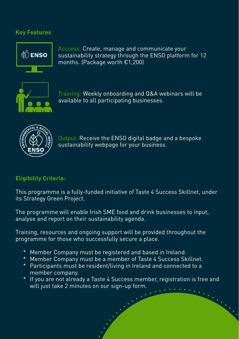### **Key Features**



Acccess: Create, manage and communicate your sustainability strategy through the ENSO platform for 12 months. (Package worth €1,200)



Training: Weekly onboarding and Q&A webinars will be available to all participating businesses.



Output: Receive the ENSO digital badge and a bespoke sustainability webpage for your business.

#### **Eligibility Criteria:**

This programme is a fully-funded initiative of Taste 4 Success Skillnet, under its Strategy Green Project.

The programme will enable Irish SME food and drink businesses to input, analyse and report on their sustainability agenda.

Training, resources and ongoing support will be provided throughout the programme for those who successfully secure a place.

- \* Member Company must be registered and based in Ireland.
- \* Member Company must be a member of Taste 4 Success Skillnet.
- \* Participants must be resident/living in Ireland and connected to a member company.
- \* If you are not already a Taste 4 Success member, registration is free and will just take 2 minutes on our sign-up form.